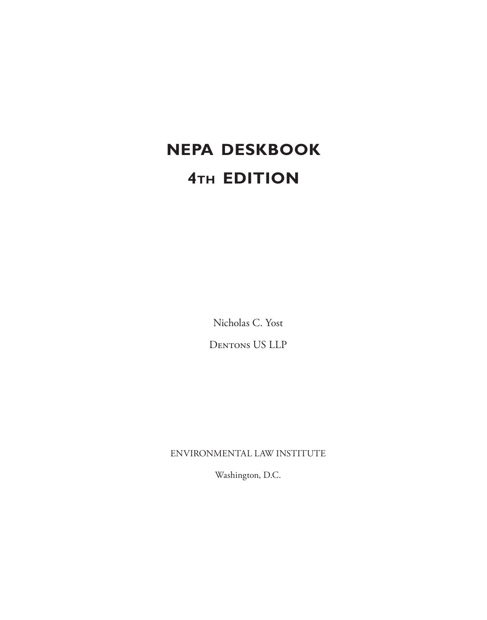# **NEPA DESKBOOK 4th EDITION**

Nicholas C. Yost Dentons US LLP

ENVIRONMENTAL LAW INSTITUTE

Washington, D.C.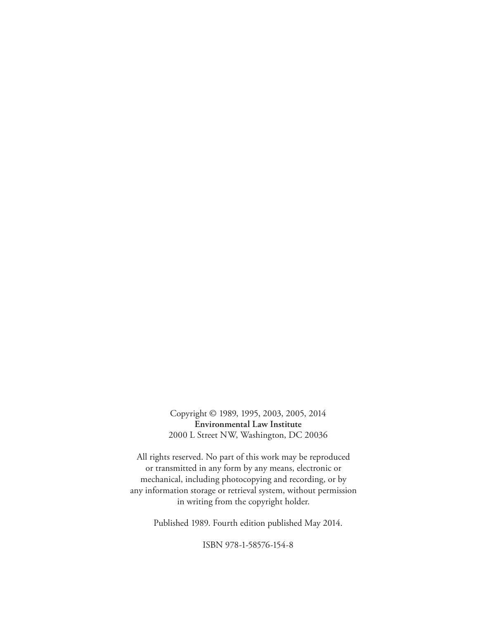Copyright © 1989, 1995, 2003, 2005, 2014 **Environmental Law Institute** 2000 L Street NW, Washington, DC 20036

All rights reserved. No part of this work may be reproduced or transmitted in any form by any means, electronic or mechanical, including photocopying and recording, or by any information storage or retrieval system, without permission in writing from the copyright holder.

Published 1989. Fourth edition published May 2014.

ISBN 978-1-58576-154-8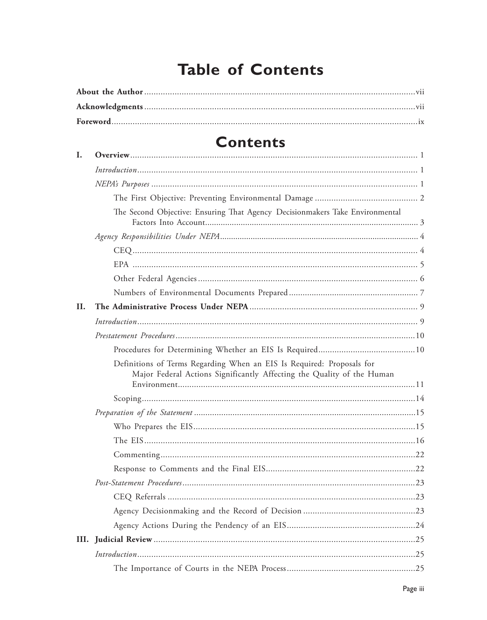## **Table of Contents**

## **Contents**

| I.   |                                                                                                                                                 |
|------|-------------------------------------------------------------------------------------------------------------------------------------------------|
|      | Introduction 1                                                                                                                                  |
|      |                                                                                                                                                 |
|      |                                                                                                                                                 |
|      | The Second Objective: Ensuring That Agency Decisionmakers Take Environmental                                                                    |
|      |                                                                                                                                                 |
|      |                                                                                                                                                 |
|      |                                                                                                                                                 |
|      |                                                                                                                                                 |
|      |                                                                                                                                                 |
| II.  |                                                                                                                                                 |
|      |                                                                                                                                                 |
|      |                                                                                                                                                 |
|      |                                                                                                                                                 |
|      | Definitions of Terms Regarding When an EIS Is Required: Proposals for<br>Major Federal Actions Significantly Affecting the Quality of the Human |
|      |                                                                                                                                                 |
|      |                                                                                                                                                 |
|      |                                                                                                                                                 |
|      |                                                                                                                                                 |
|      |                                                                                                                                                 |
|      |                                                                                                                                                 |
|      |                                                                                                                                                 |
|      |                                                                                                                                                 |
|      |                                                                                                                                                 |
|      |                                                                                                                                                 |
| III. |                                                                                                                                                 |
|      |                                                                                                                                                 |
|      |                                                                                                                                                 |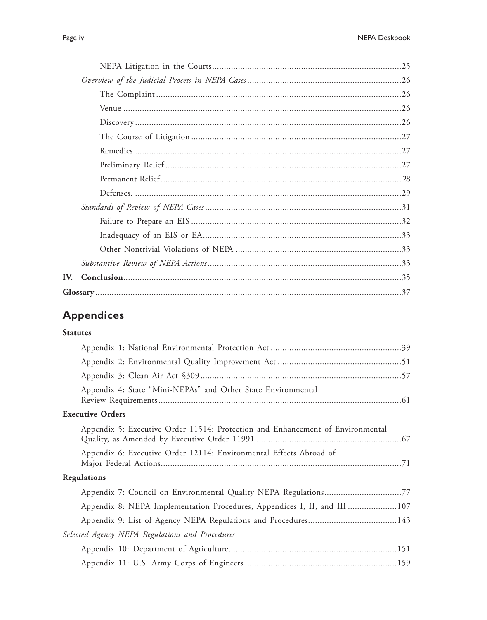| IV. |  |
|-----|--|
|     |  |
|     |  |

### **Appendices**

#### **Statutes**

| Appendix 4: State "Mini-NEPAs" and Other State Environmental                   |
|--------------------------------------------------------------------------------|
| <b>Executive Orders</b>                                                        |
| Appendix 5: Executive Order 11514: Protection and Enhancement of Environmental |
| Appendix 6: Executive Order 12114: Environmental Effects Abroad of             |
| Regulations                                                                    |
| Appendix 7: Council on Environmental Quality NEPA Regulations77                |
| Appendix 8: NEPA Implementation Procedures, Appendices I, II, and III 107      |
|                                                                                |
| Selected Agency NEPA Regulations and Procedures                                |
|                                                                                |
|                                                                                |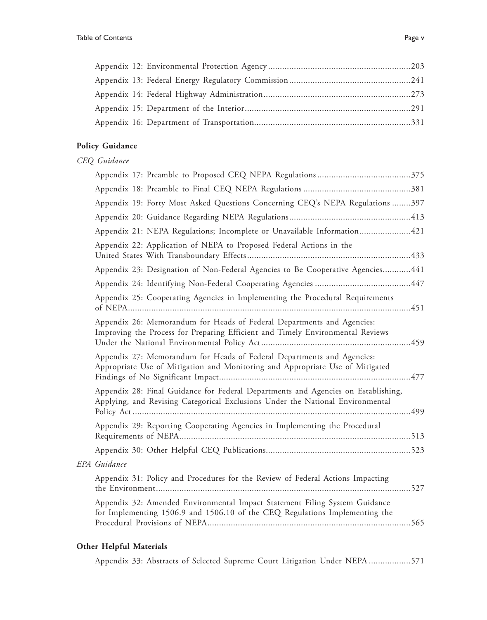#### **Policy Guidance**

#### *CEQ Guidance*

| Appendix 19: Forty Most Asked Questions Concerning CEQ's NEPA Regulations 397                                                                                       |  |
|---------------------------------------------------------------------------------------------------------------------------------------------------------------------|--|
|                                                                                                                                                                     |  |
| Appendix 21: NEPA Regulations; Incomplete or Unavailable Information421                                                                                             |  |
| Appendix 22: Application of NEPA to Proposed Federal Actions in the                                                                                                 |  |
| Appendix 23: Designation of Non-Federal Agencies to Be Cooperative Agencies 441                                                                                     |  |
|                                                                                                                                                                     |  |
| Appendix 25: Cooperating Agencies in Implementing the Procedural Requirements                                                                                       |  |
| Appendix 26: Memorandum for Heads of Federal Departments and Agencies:<br>Improving the Process for Preparing Efficient and Timely Environmental Reviews            |  |
| Appendix 27: Memorandum for Heads of Federal Departments and Agencies:<br>Appropriate Use of Mitigation and Monitoring and Appropriate Use of Mitigated             |  |
| Appendix 28: Final Guidance for Federal Departments and Agencies on Establishing,<br>Applying, and Revising Categorical Exclusions Under the National Environmental |  |
| Appendix 29: Reporting Cooperating Agencies in Implementing the Procedural                                                                                          |  |
|                                                                                                                                                                     |  |
| EPA Guidance                                                                                                                                                        |  |
| Appendix 31: Policy and Procedures for the Review of Federal Actions Impacting                                                                                      |  |
| Appendix 32: Amended Environmental Impact Statement Filing System Guidance<br>for Implementing 1506.9 and 1506.10 of the CEQ Regulations Implementing the           |  |
| $\sim$ H <sub>1</sub> 1 <sub>2</sub> C <sub>1</sub> 1 M <sub>1</sub> <sub>2</sub> <sup>2</sup> <sub>1</sub> <sup>1</sup> <sub>2</sub>                               |  |

#### **Other Helpful Materials**

Appendix 33: Abstracts of Selected Supreme Court Litigation Under NEPA ..................571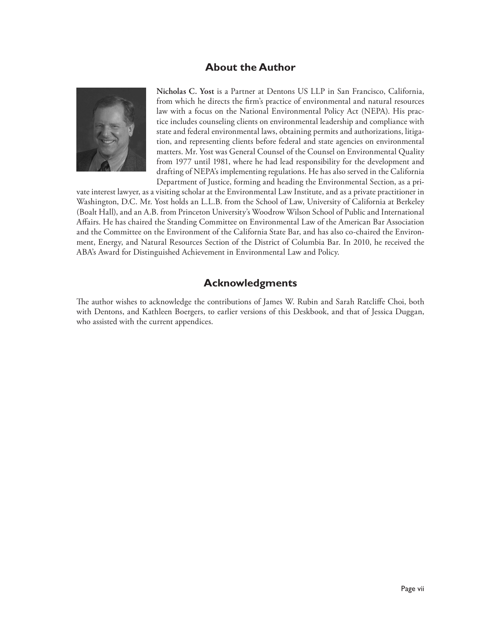#### **About the Author**



**Nicholas C. Yost** is a Partner at Dentons US LLP in San Francisco, California, from which he directs the firm's practice of environmental and natural resources law with a focus on the National Environmental Policy Act (NEPA). His practice includes counseling clients on environmental leadership and compliance with state and federal environmental laws, obtaining permits and authorizations, litigation, and representing clients before federal and state agencies on environmental matters. Mr. Yost was General Counsel of the Counsel on Environmental Quality from 1977 until 1981, where he had lead responsibility for the development and drafting of NEPA's implementing regulations. He has also served in the California Department of Justice, forming and heading the Environmental Section, as a pri-

vate interest lawyer, as a visiting scholar at the Environmental Law Institute, and as a private practitioner in Washington, D.C. Mr. Yost holds an L.L.B. from the School of Law, University of California at Berkeley (Boalt Hall), and an A.B. from Princeton University's Woodrow Wilson School of Public and International Affairs. He has chaired the Standing Committee on Environmental Law of the American Bar Association and the Committee on the Environment of the California State Bar, and has also co-chaired the Environment, Energy, and Natural Resources Section of the District of Columbia Bar. In 2010, he received the ABA's Award for Distinguished Achievement in Environmental Law and Policy.

#### **Acknowledgments**

The author wishes to acknowledge the contributions of James W. Rubin and Sarah Ratcliffe Choi, both with Dentons, and Kathleen Boergers, to earlier versions of this Deskbook, and that of Jessica Duggan, who assisted with the current appendices.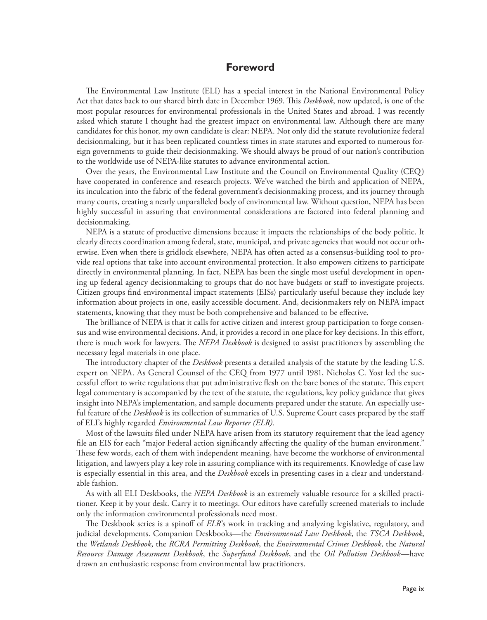#### **Foreword**

The Environmental Law Institute (ELI) has a special interest in the National Environmental Policy Act that dates back to our shared birth date in December 1969. This *Deskbook*, now updated, is one of the most popular resources for environmental professionals in the United States and abroad. I was recently asked which statute I thought had the greatest impact on environmental law. Although there are many candidates for this honor, my own candidate is clear: NEPA. Not only did the statute revolutionize federal decisionmaking, but it has been replicated countless times in state statutes and exported to numerous foreign governments to guide their decisionmaking. We should always be proud of our nation's contribution to the worldwide use of NEPA-like statutes to advance environmental action.

Over the years, the Environmental Law Institute and the Council on Environmental Quality (CEQ) have cooperated in conference and research projects. We've watched the birth and application of NEPA, its inculcation into the fabric of the federal government's decisionmaking process, and its journey through many courts, creating a nearly unparalleled body of environmental law. Without question, NEPA has been highly successful in assuring that environmental considerations are factored into federal planning and decisionmaking.

NEPA is a statute of productive dimensions because it impacts the relationships of the body politic. It clearly directs coordination among federal, state, municipal, and private agencies that would not occur otherwise. Even when there is gridlock elsewhere, NEPA has often acted as a consensus-building tool to provide real options that take into account environmental protection. It also empowers citizens to participate directly in environmental planning. In fact, NEPA has been the single most useful development in opening up federal agency decisionmaking to groups that do not have budgets or staff to investigate projects. Citizen groups find environmental impact statements (EISs) particularly useful because they include key information about projects in one, easily accessible document. And, decisionmakers rely on NEPA impact statements, knowing that they must be both comprehensive and balanced to be effective.

The brilliance of NEPA is that it calls for active citizen and interest group participation to forge consensus and wise environmental decisions. And, it provides a record in one place for key decisions. In this effort, there is much work for lawyers. The *NEPA Deskbook* is designed to assist practitioners by assembling the necessary legal materials in one place.

The introductory chapter of the *Deskbook* presents a detailed analysis of the statute by the leading U.S. expert on NEPA. As General Counsel of the CEQ from 1977 until 1981, Nicholas C. Yost led the successful effort to write regulations that put administrative flesh on the bare bones of the statute. This expert legal commentary is accompanied by the text of the statute, the regulations, key policy guidance that gives insight into NEPA's implementation, and sample documents prepared under the statute. An especially useful feature of the *Deskbook* is its collection of summaries of U.S. Supreme Court cases prepared by the staff of ELI's highly regarded *Environmental Law Reporter (ELR)*.

Most of the lawsuits filed under NEPA have arisen from its statutory requirement that the lead agency file an EIS for each "major Federal action significantly affecting the quality of the human environment." These few words, each of them with independent meaning, have become the workhorse of environmental litigation, and lawyers play a key role in assuring compliance with its requirements. Knowledge of case law is especially essential in this area, and the *Deskbook* excels in presenting cases in a clear and understandable fashion.

As with all ELI Deskbooks, the *NEPA Deskbook* is an extremely valuable resource for a skilled practitioner. Keep it by your desk. Carry it to meetings. Our editors have carefully screened materials to include only the information environmental professionals need most.

The Deskbook series is a spinoff of *ELR*'s work in tracking and analyzing legislative, regulatory, and judicial developments. Companion Deskbooks—the *Environmental Law Deskbook*, the *TSCA Deskbook*, the *Wetlands Deskbook*, the *RCRA Permitting Deskbook*, the *Environmental Crimes Deskbook*, the *Natural Resource Damage Assessment Deskbook*, the *Superfund Deskbook*, and the *Oil Pollution Deskbook*—have drawn an enthusiastic response from environmental law practitioners.